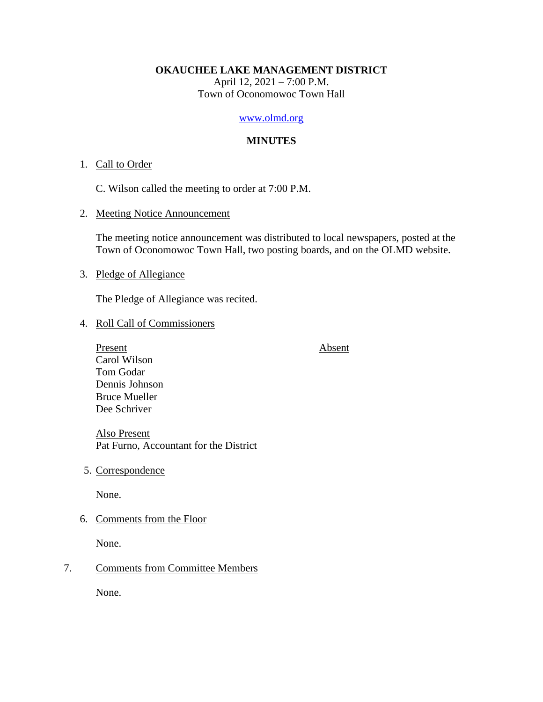### **OKAUCHEE LAKE MANAGEMENT DISTRICT**

April 12, 2021 – 7:00 P.M. Town of Oconomowoc Town Hall

# [www.olmd.org](http://www.olmd.org/)

# **MINUTES**

# 1. Call to Order

C. Wilson called the meeting to order at 7:00 P.M.

2. Meeting Notice Announcement

The meeting notice announcement was distributed to local newspapers, posted at the Town of Oconomowoc Town Hall, two posting boards, and on the OLMD website.

# 3. Pledge of Allegiance

The Pledge of Allegiance was recited.

4. Roll Call of Commissioners

Present Absent Carol Wilson Tom Godar Dennis Johnson Bruce Mueller Dee Schriver

Also Present Pat Furno, Accountant for the District

5. Correspondence

None.

6. Comments from the Floor

None.

# 7. Comments from Committee Members

None.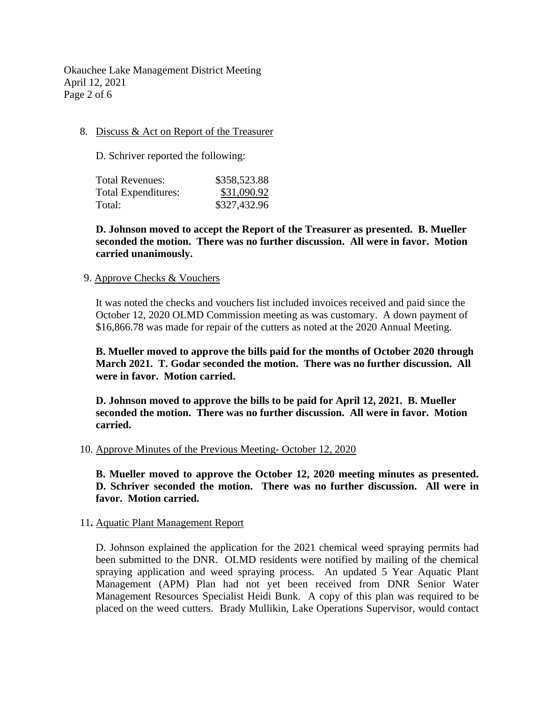Okauchee Lake Management District Meeting April 12, 2021 Page 2 of 6

# 8. Discuss & Act on Report of the Treasurer

D. Schriver reported the following:

| Total Revenues:            | \$358,523.88 |
|----------------------------|--------------|
| <b>Total Expenditures:</b> | \$31,090.92  |
| Total:                     | \$327,432.96 |

**D. Johnson moved to accept the Report of the Treasurer as presented. B. Mueller seconded the motion. There was no further discussion. All were in favor. Motion carried unanimously.**

## 9. Approve Checks & Vouchers

It was noted the checks and vouchers list included invoices received and paid since the October 12, 2020 OLMD Commission meeting as was customary. A down payment of \$16,866.78 was made for repair of the cutters as noted at the 2020 Annual Meeting.

**B. Mueller moved to approve the bills paid for the months of October 2020 through March 2021. T. Godar seconded the motion. There was no further discussion. All were in favor. Motion carried.**

**D. Johnson moved to approve the bills to be paid for April 12, 2021. B. Mueller seconded the motion. There was no further discussion. All were in favor. Motion carried.**

### 10. Approve Minutes of the Previous Meeting- October 12, 2020

**B. Mueller moved to approve the October 12, 2020 meeting minutes as presented. D. Schriver seconded the motion. There was no further discussion. All were in favor. Motion carried.**

### 11**.** Aquatic Plant Management Report

D. Johnson explained the application for the 2021 chemical weed spraying permits had been submitted to the DNR. OLMD residents were notified by mailing of the chemical spraying application and weed spraying process. An updated 5 Year Aquatic Plant Management (APM) Plan had not yet been received from DNR Senior Water Management Resources Specialist Heidi Bunk. A copy of this plan was required to be placed on the weed cutters. Brady Mullikin, Lake Operations Supervisor, would contact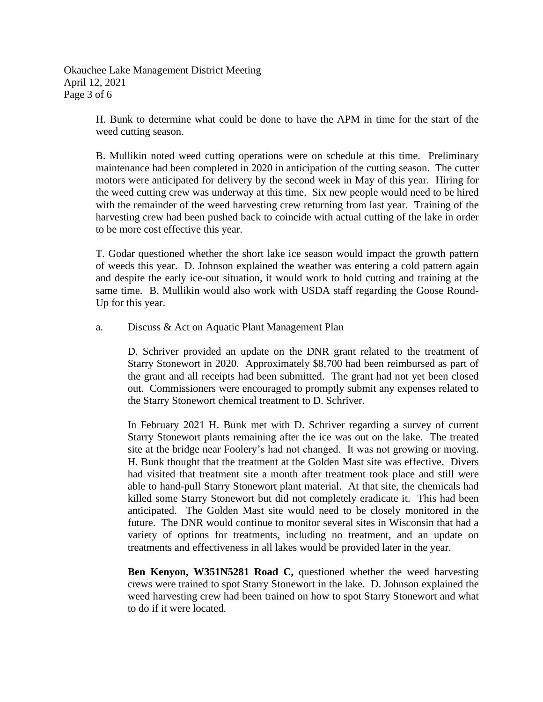Okauchee Lake Management District Meeting April 12, 2021 Page 3 of 6

> H. Bunk to determine what could be done to have the APM in time for the start of the weed cutting season.

> B. Mullikin noted weed cutting operations were on schedule at this time. Preliminary maintenance had been completed in 2020 in anticipation of the cutting season. The cutter motors were anticipated for delivery by the second week in May of this year. Hiring for the weed cutting crew was underway at this time. Six new people would need to be hired with the remainder of the weed harvesting crew returning from last year. Training of the harvesting crew had been pushed back to coincide with actual cutting of the lake in order to be more cost effective this year.

> T. Godar questioned whether the short lake ice season would impact the growth pattern of weeds this year. D. Johnson explained the weather was entering a cold pattern again and despite the early ice-out situation, it would work to hold cutting and training at the same time. B. Mullikin would also work with USDA staff regarding the Goose Round-Up for this year.

a. Discuss & Act on Aquatic Plant Management Plan

D. Schriver provided an update on the DNR grant related to the treatment of Starry Stonewort in 2020. Approximately \$8,700 had been reimbursed as part of the grant and all receipts had been submitted. The grant had not yet been closed out. Commissioners were encouraged to promptly submit any expenses related to the Starry Stonewort chemical treatment to D. Schriver.

In February 2021 H. Bunk met with D. Schriver regarding a survey of current Starry Stonewort plants remaining after the ice was out on the lake. The treated site at the bridge near Foolery's had not changed. It was not growing or moving. H. Bunk thought that the treatment at the Golden Mast site was effective. Divers had visited that treatment site a month after treatment took place and still were able to hand-pull Starry Stonewort plant material. At that site, the chemicals had killed some Starry Stonewort but did not completely eradicate it. This had been anticipated. The Golden Mast site would need to be closely monitored in the future. The DNR would continue to monitor several sites in Wisconsin that had a variety of options for treatments, including no treatment, and an update on treatments and effectiveness in all lakes would be provided later in the year.

**Ben Kenyon, W351N5281 Road C,** questioned whether the weed harvesting crews were trained to spot Starry Stonewort in the lake. D. Johnson explained the weed harvesting crew had been trained on how to spot Starry Stonewort and what to do if it were located.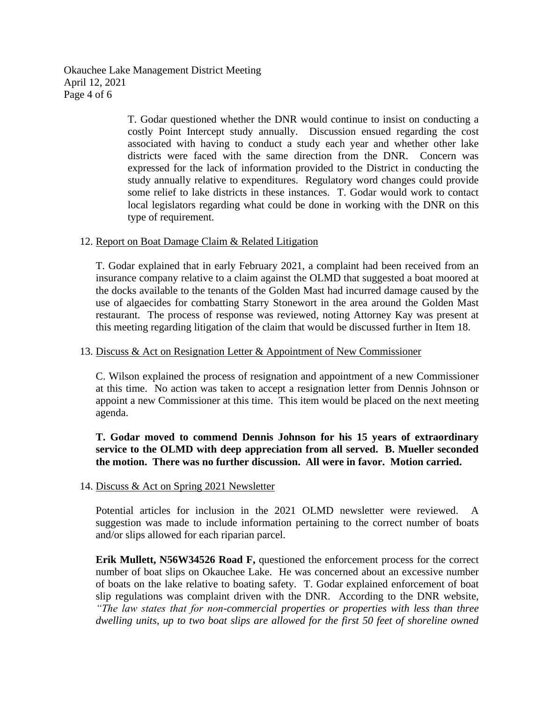Okauchee Lake Management District Meeting April 12, 2021 Page 4 of 6

> T. Godar questioned whether the DNR would continue to insist on conducting a costly Point Intercept study annually. Discussion ensued regarding the cost associated with having to conduct a study each year and whether other lake districts were faced with the same direction from the DNR. Concern was expressed for the lack of information provided to the District in conducting the study annually relative to expenditures. Regulatory word changes could provide some relief to lake districts in these instances. T. Godar would work to contact local legislators regarding what could be done in working with the DNR on this type of requirement.

### 12. Report on Boat Damage Claim & Related Litigation

T. Godar explained that in early February 2021, a complaint had been received from an insurance company relative to a claim against the OLMD that suggested a boat moored at the docks available to the tenants of the Golden Mast had incurred damage caused by the use of algaecides for combatting Starry Stonewort in the area around the Golden Mast restaurant. The process of response was reviewed, noting Attorney Kay was present at this meeting regarding litigation of the claim that would be discussed further in Item 18.

#### 13. Discuss & Act on Resignation Letter & Appointment of New Commissioner

C. Wilson explained the process of resignation and appointment of a new Commissioner at this time. No action was taken to accept a resignation letter from Dennis Johnson or appoint a new Commissioner at this time. This item would be placed on the next meeting agenda.

**T. Godar moved to commend Dennis Johnson for his 15 years of extraordinary service to the OLMD with deep appreciation from all served. B. Mueller seconded the motion. There was no further discussion. All were in favor. Motion carried.**

### 14. Discuss & Act on Spring 2021 Newsletter

Potential articles for inclusion in the 2021 OLMD newsletter were reviewed. A suggestion was made to include information pertaining to the correct number of boats and/or slips allowed for each riparian parcel.

**Erik Mullett, N56W34526 Road F,** questioned the enforcement process for the correct number of boat slips on Okauchee Lake. He was concerned about an excessive number of boats on the lake relative to boating safety. T. Godar explained enforcement of boat slip regulations was complaint driven with the DNR. According to the DNR website, *"The law states that for non-commercial properties or properties with less than three dwelling units, up to two boat slips are allowed for the first 50 feet of shoreline owned*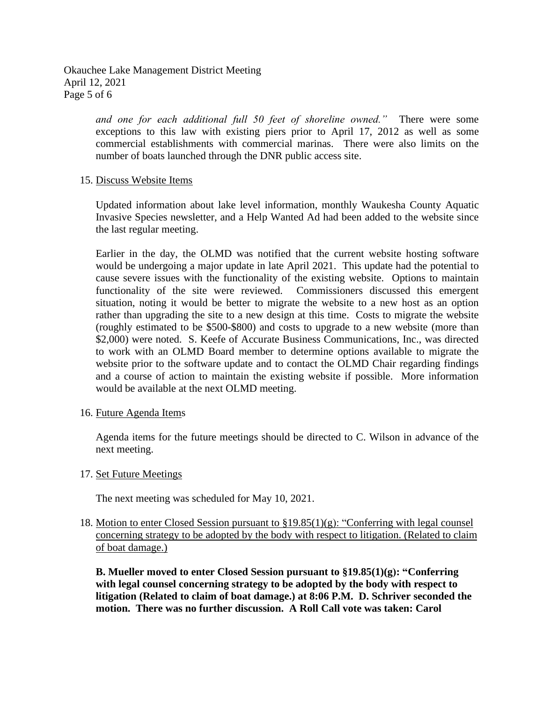Okauchee Lake Management District Meeting April 12, 2021 Page 5 of 6

> *and one for each additional full 50 feet of shoreline owned."* There were some exceptions to this law with existing piers prior to April 17, 2012 as well as some commercial establishments with commercial marinas. There were also limits on the number of boats launched through the DNR public access site.

### 15. Discuss Website Items

Updated information about lake level information, monthly Waukesha County Aquatic Invasive Species newsletter, and a Help Wanted Ad had been added to the website since the last regular meeting.

Earlier in the day, the OLMD was notified that the current website hosting software would be undergoing a major update in late April 2021. This update had the potential to cause severe issues with the functionality of the existing website. Options to maintain functionality of the site were reviewed. Commissioners discussed this emergent situation, noting it would be better to migrate the website to a new host as an option rather than upgrading the site to a new design at this time. Costs to migrate the website (roughly estimated to be \$500-\$800) and costs to upgrade to a new website (more than \$2,000) were noted. S. Keefe of Accurate Business Communications, Inc., was directed to work with an OLMD Board member to determine options available to migrate the website prior to the software update and to contact the OLMD Chair regarding findings and a course of action to maintain the existing website if possible. More information would be available at the next OLMD meeting.

### 16. Future Agenda Items

Agenda items for the future meetings should be directed to C. Wilson in advance of the next meeting.

# 17. Set Future Meetings

The next meeting was scheduled for May 10, 2021.

18. Motion to enter Closed Session pursuant to §19.85(1)(g): "Conferring with legal counsel concerning strategy to be adopted by the body with respect to litigation. (Related to claim of boat damage.)

**B. Mueller moved to enter Closed Session pursuant to §19.85(1)(g): "Conferring with legal counsel concerning strategy to be adopted by the body with respect to litigation (Related to claim of boat damage.) at 8:06 P.M. D. Schriver seconded the motion. There was no further discussion. A Roll Call vote was taken: Carol**